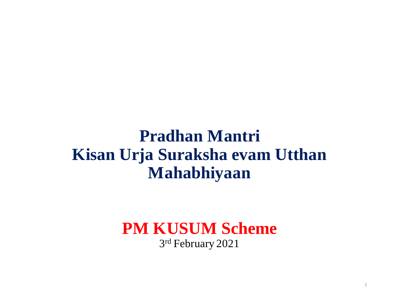#### **Pradhan Mantri Kisan Urja Suraksha evam Utthan Mahabhiyaan**

#### **PM KUSUM Scheme**

3 rd February 2021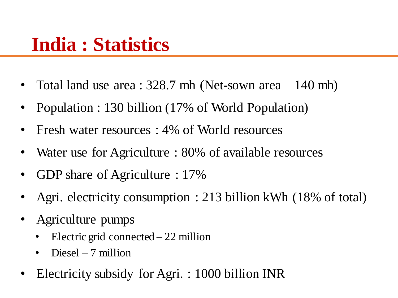## **India : Statistics**

- Total land use area : 328.7 mh (Net-sown area 140 mh)
- Population : 130 billion (17% of World Population)
- Fresh water resources : 4% of World resources
- Water use for Agriculture : 80% of available resources
- GDP share of Agriculture : 17%
- Agri. electricity consumption : 213 billion kWh (18% of total)
- Agriculture pumps
	- Electric grid connected  $-22$  million
	- Diesel 7 million
- Electricity subsidy for Agri.: 1000 billion INR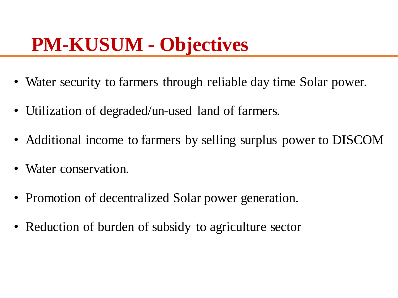## **PM-KUSUM - Objectives**

- Water security to farmers through reliable day time Solar power.
- Utilization of degraded/un-used land of farmers.
- Additional income to farmers by selling surplus power to DISCOM
- Water conservation.
- Promotion of decentralized Solar power generation.
- Reduction of burden of subsidy to agriculture sector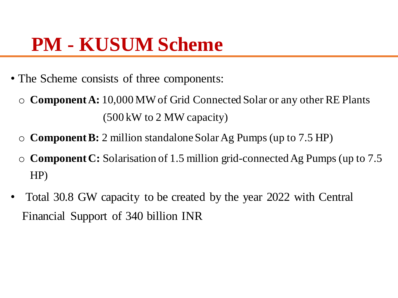## **PM - KUSUM Scheme**

- The Scheme consists of three components:
	- o **Component A:** 10,000 MW of Grid Connected Solar or any other RE Plants (500 kW to 2 MW capacity)
	- o **Component B:** 2 million standalone Solar Ag Pumps (up to 7.5 HP)
	- o **Component C:** Solarisation of 1.5 million grid-connected Ag Pumps (up to 7.5 HP)
- Total 30.8 GW capacity to be created by the year 2022 with Central Financial Support of 340 billion INR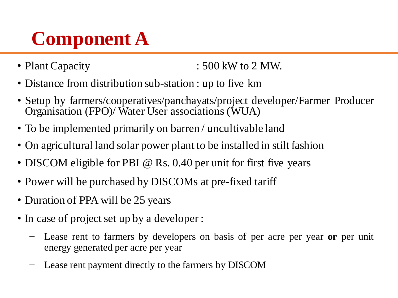## **Component A**

- 
- Plant Capacity : 500 kW to 2 MW.
- Distance from distribution sub-station : up to five km
- Setup by farmers/cooperatives/panchayats/project developer/Farmer Producer Organisation (FPO)/ Water User associations (WUA)
- To be implemented primarily on barren / uncultivable land
- On agricultural land solar power plant to be installed in stilt fashion
- DISCOM eligible for PBI @ Rs. 0.40 per unit for first five years
- Power will be purchased by DISCOMs at pre-fixed tariff
- Duration of PPA will be 25 years
- In case of project set up by a developer :
	- − Lease rent to farmers by developers on basis of per acre per year **or** per unit energy generated per acre per year
	- Lease rent payment directly to the farmers by DISCOM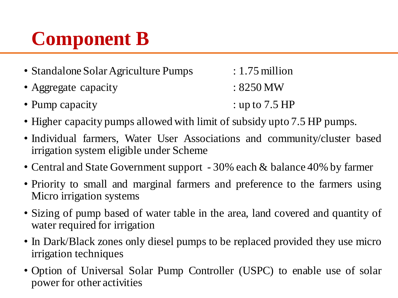## **Component B**

| • Standalone Solar Agriculture Pumps | $: 1.75$ million |
|--------------------------------------|------------------|
|--------------------------------------|------------------|

- Aggregate capacity : 8250 MW
- Pump capacity : up to 7.5 HP
- -
- Higher capacity pumps allowed with limit of subsidy upto 7.5 HP pumps.
- Individual farmers, Water User Associations and community/cluster based irrigation system eligible under Scheme
- Central and State Government support 30% each & balance 40% by farmer
- Priority to small and marginal farmers and preference to the farmers using Micro irrigation systems
- Sizing of pump based of water table in the area, land covered and quantity of water required for irrigation
- In Dark/Black zones only diesel pumps to be replaced provided they use micro irrigation techniques
- Option of Universal Solar Pump Controller (USPC) to enable use of solar power for other activities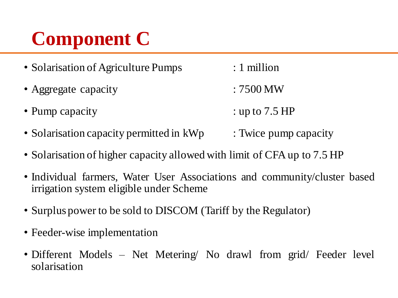## **Component C**

| • Solarisation of Agriculture Pumps | $: 1$ million        |
|-------------------------------------|----------------------|
| • Aggregate capacity                | $:7500\,\mathrm{MW}$ |
| • Pump capacity                     | : up to $7.5$ HP     |

- Solarisation capacity permitted in kWp : Twice pump capacity
- Solarisation of higher capacity allowed with limit of CFA up to 7.5 HP
- Individual farmers, Water User Associations and community/cluster based irrigation system eligible under Scheme
- Surplus power to be sold to DISCOM (Tariff by the Regulator)
- Feeder-wise implementation
- Different Models Net Metering/ No drawl from grid/ Feeder level solarisation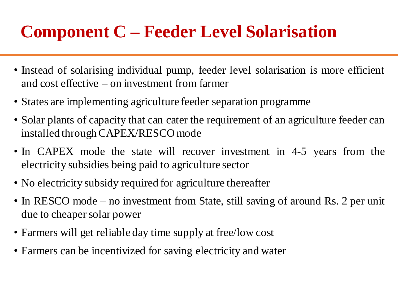## **Component C – Feeder Level Solarisation**

- Instead of solarising individual pump, feeder level solarisation is more efficient and cost effective – on investment from farmer
- States are implementing agriculture feeder separation programme
- Solar plants of capacity that can cater the requirement of an agriculture feeder can installed through CAPEX/RESCO mode
- In CAPEX mode the state will recover investment in 4-5 years from the electricity subsidies being paid to agriculture sector
- No electricity subsidy required for agriculture thereafter
- In RESCO mode no investment from State, still saving of around Rs. 2 per unit due to cheaper solar power
- Farmers will get reliable day time supply at free/low cost
- Farmers can be incentivized for saving electricity and water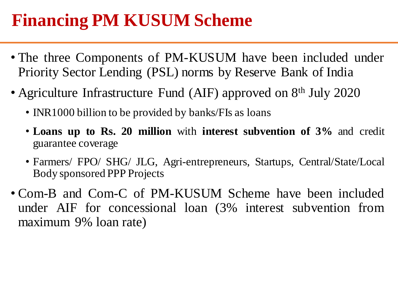#### **Financing PM KUSUM Scheme**

- The three Components of PM-KUSUM have been included under Priority Sector Lending (PSL) norms by Reserve Bank of India
- Agriculture Infrastructure Fund (AIF) approved on 8<sup>th</sup> July 2020
	- INR1000 billion to be provided by banks/FIs as loans
	- **Loans up to Rs. 20 million** with **interest subvention of 3%** and credit guarantee coverage
	- Farmers/ FPO/ SHG/ JLG, Agri-entrepreneurs, Startups, Central/State/Local Body sponsored PPP Projects
- Com-B and Com-C of PM-KUSUM Scheme have been included under AIF for concessional loan (3% interest subvention from maximum 9% loan rate)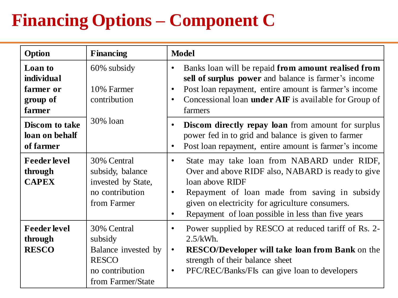## **Financing Options – Component C**

| <b>Option</b>                                                          | <b>Financing</b>                                                                                      | <b>Model</b>                                                                                                                                                                                                                                                                                                         |
|------------------------------------------------------------------------|-------------------------------------------------------------------------------------------------------|----------------------------------------------------------------------------------------------------------------------------------------------------------------------------------------------------------------------------------------------------------------------------------------------------------------------|
| <b>Loan</b> to<br><i>individual</i><br>farmer or<br>group of<br>farmer | 60% subsidy<br>10% Farmer<br>contribution                                                             | Banks loan will be repaid from a mount realised from<br>$\bullet$<br>sell of surplus power and balance is farmer's income<br>Post loan repayment, entire amount is farmer's income<br>$\bullet$<br>Concessional loan under $\overline{AIF}$ is available for Group of<br>$\bullet$<br>farmers                        |
| Discom to take<br>loan on behalf<br>of farmer                          | 30% loan                                                                                              | <b>Discom directly repay loan</b> from amount for surplus<br>$\bullet$<br>power fed in to grid and balance is given to farmer<br>Post loan repayment, entire amount is farmer's income<br>$\bullet$                                                                                                                  |
| <b>Feeder level</b><br>through<br><b>CAPEX</b>                         | 30% Central<br>subsidy, balance<br>invested by State,<br>no contribution<br>from Farmer               | State may take loan from NABARD under RIDF,<br>$\bullet$<br>Over and above RIDF also, NABARD is ready to give<br>loan above RIDF<br>Repayment of loan made from saving in subsidy<br>$\bullet$<br>given on electricity for agriculture consumers.<br>Repayment of loan possible in less than five years<br>$\bullet$ |
| <b>Feeder level</b><br>through<br><b>RESCO</b>                         | 30% Central<br>subsidy<br>Balance invested by<br><b>RESCO</b><br>no contribution<br>from Farmer/State | Power supplied by RESCO at reduced tariff of Rs. 2-<br>$\bullet$<br>2.5/kWh.<br><b>RESCO/Developer will take loan from Bank on the</b><br>$\bullet$<br>strength of their balance sheet<br>PFC/REC/Banks/FIs can give loan to developers<br>$\bullet$                                                                 |